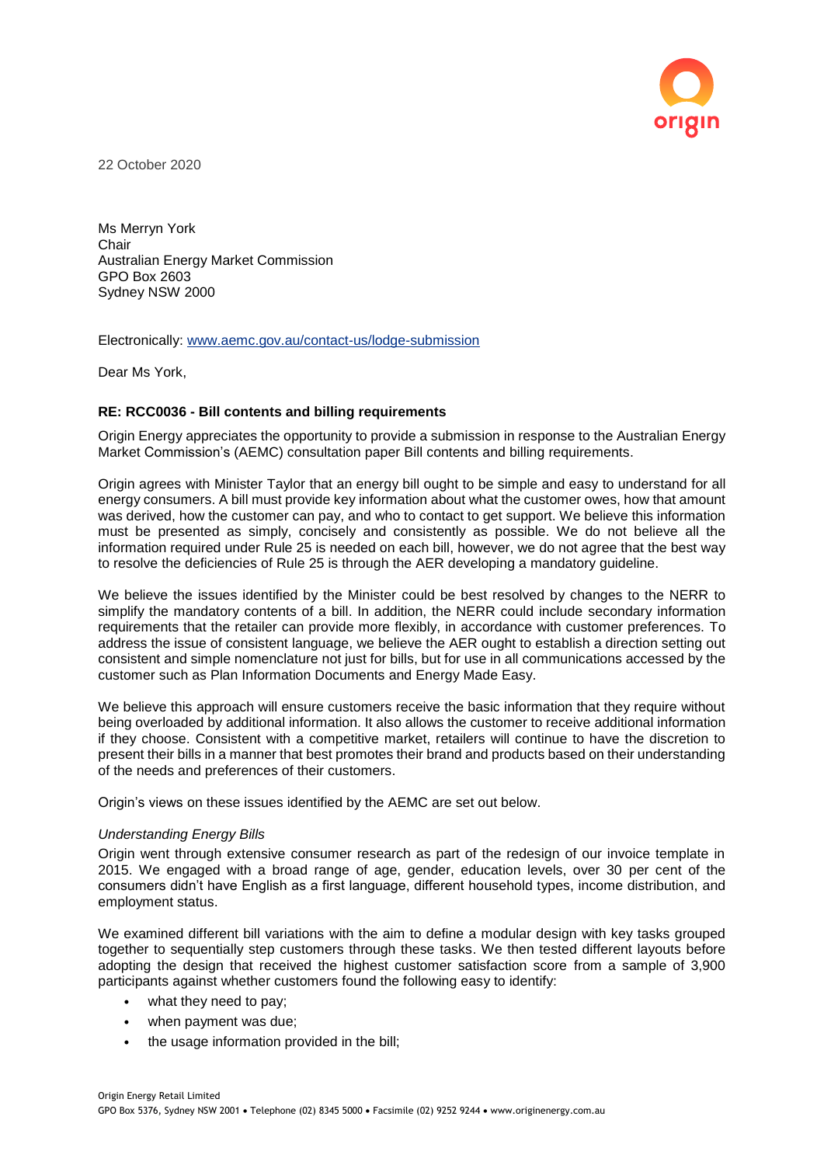

22 October 2020

Ms Merryn York **Chair** Australian Energy Market Commission GPO Box 2603 Sydney NSW 2000

Electronically: [www.aemc.gov.au/contact-us/lodge-submission](http://www.aemc.gov.au/contact-us/lodge-submission)

Dear Ms York,

# **RE: RCC0036 - Bill contents and billing requirements**

Origin Energy appreciates the opportunity to provide a submission in response to the Australian Energy Market Commission's (AEMC) consultation paper Bill contents and billing requirements.

Origin agrees with Minister Taylor that an energy bill ought to be simple and easy to understand for all energy consumers. A bill must provide key information about what the customer owes, how that amount was derived, how the customer can pay, and who to contact to get support. We believe this information must be presented as simply, concisely and consistently as possible. We do not believe all the information required under Rule 25 is needed on each bill, however, we do not agree that the best way to resolve the deficiencies of Rule 25 is through the AER developing a mandatory guideline.

We believe the issues identified by the Minister could be best resolved by changes to the NERR to simplify the mandatory contents of a bill. In addition, the NERR could include secondary information requirements that the retailer can provide more flexibly, in accordance with customer preferences. To address the issue of consistent language, we believe the AER ought to establish a direction setting out consistent and simple nomenclature not just for bills, but for use in all communications accessed by the customer such as Plan Information Documents and Energy Made Easy.

We believe this approach will ensure customers receive the basic information that they require without being overloaded by additional information. It also allows the customer to receive additional information if they choose. Consistent with a competitive market, retailers will continue to have the discretion to present their bills in a manner that best promotes their brand and products based on their understanding of the needs and preferences of their customers.

Origin's views on these issues identified by the AEMC are set out below.

### *Understanding Energy Bills*

Origin went through extensive consumer research as part of the redesign of our invoice template in 2015. We engaged with a broad range of age, gender, education levels, over 30 per cent of the consumers didn't have English as a first language, different household types, income distribution, and employment status.

We examined different bill variations with the aim to define a modular design with key tasks grouped together to sequentially step customers through these tasks. We then tested different layouts before adopting the design that received the highest customer satisfaction score from a sample of 3,900 participants against whether customers found the following easy to identify:

- what they need to pay;
- when payment was due;
- the usage information provided in the bill;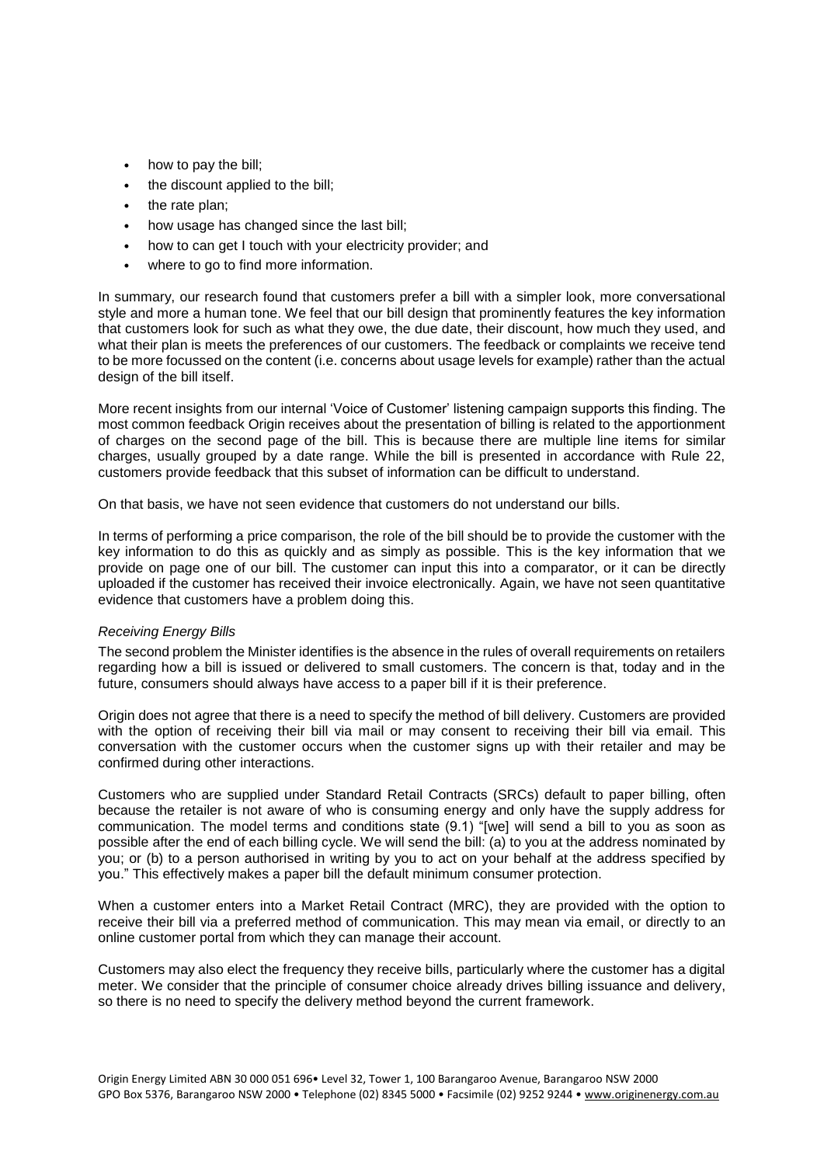- how to pay the bill;
- the discount applied to the bill;
- the rate plan;
- how usage has changed since the last bill;
- how to can get I touch with your electricity provider; and
- where to go to find more information.

In summary, our research found that customers prefer a bill with a simpler look, more conversational style and more a human tone. We feel that our bill design that prominently features the key information that customers look for such as what they owe, the due date, their discount, how much they used, and what their plan is meets the preferences of our customers. The feedback or complaints we receive tend to be more focussed on the content (i.e. concerns about usage levels for example) rather than the actual design of the bill itself.

More recent insights from our internal 'Voice of Customer' listening campaign supports this finding. The most common feedback Origin receives about the presentation of billing is related to the apportionment of charges on the second page of the bill. This is because there are multiple line items for similar charges, usually grouped by a date range. While the bill is presented in accordance with Rule 22, customers provide feedback that this subset of information can be difficult to understand.

On that basis, we have not seen evidence that customers do not understand our bills.

In terms of performing a price comparison, the role of the bill should be to provide the customer with the key information to do this as quickly and as simply as possible. This is the key information that we provide on page one of our bill. The customer can input this into a comparator, or it can be directly uploaded if the customer has received their invoice electronically. Again, we have not seen quantitative evidence that customers have a problem doing this.

# *Receiving Energy Bills*

The second problem the Minister identifies is the absence in the rules of overall requirements on retailers regarding how a bill is issued or delivered to small customers. The concern is that, today and in the future, consumers should always have access to a paper bill if it is their preference.

Origin does not agree that there is a need to specify the method of bill delivery. Customers are provided with the option of receiving their bill via mail or may consent to receiving their bill via email. This conversation with the customer occurs when the customer signs up with their retailer and may be confirmed during other interactions.

Customers who are supplied under Standard Retail Contracts (SRCs) default to paper billing, often because the retailer is not aware of who is consuming energy and only have the supply address for communication. The model terms and conditions state (9.1) "[we] will send a bill to you as soon as possible after the end of each billing cycle. We will send the bill: (a) to you at the address nominated by you; or (b) to a person authorised in writing by you to act on your behalf at the address specified by you." This effectively makes a paper bill the default minimum consumer protection.

When a customer enters into a Market Retail Contract (MRC), they are provided with the option to receive their bill via a preferred method of communication. This may mean via email, or directly to an online customer portal from which they can manage their account.

Customers may also elect the frequency they receive bills, particularly where the customer has a digital meter. We consider that the principle of consumer choice already drives billing issuance and delivery, so there is no need to specify the delivery method beyond the current framework.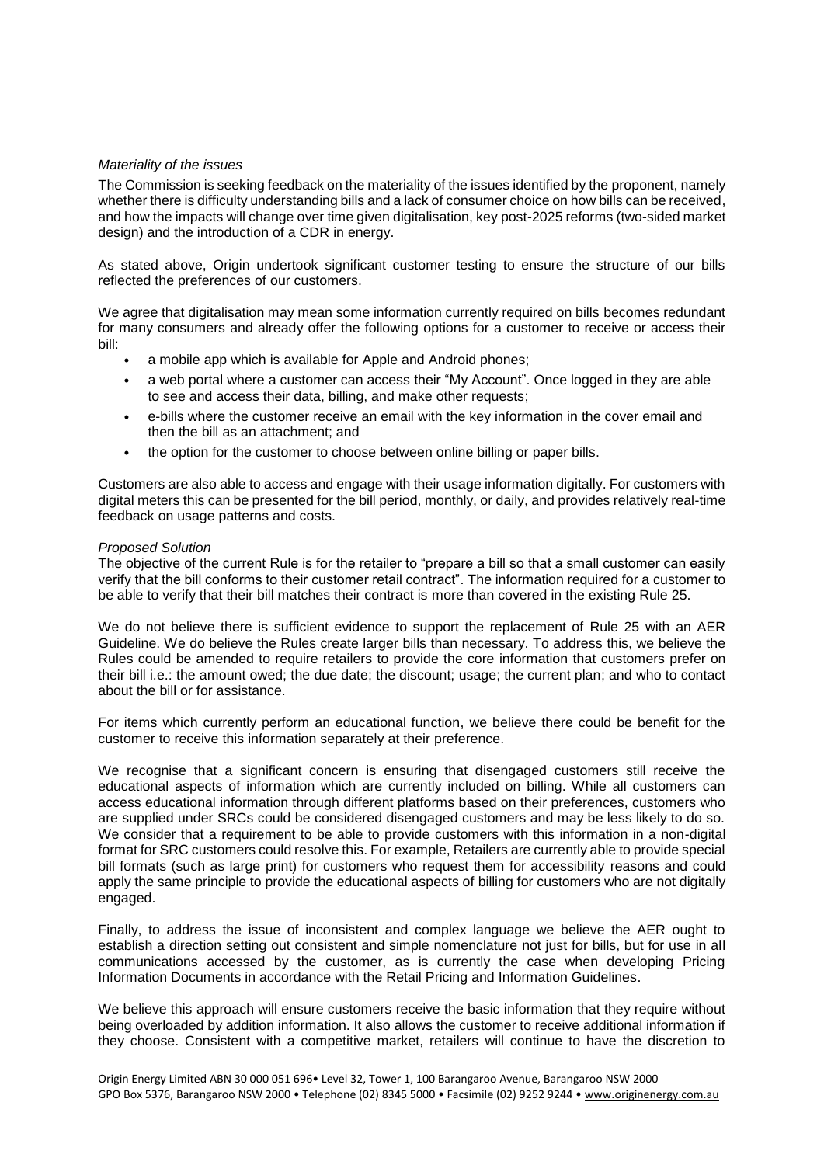## *Materiality of the issues*

The Commission is seeking feedback on the materiality of the issues identified by the proponent, namely whether there is difficulty understanding bills and a lack of consumer choice on how bills can be received, and how the impacts will change over time given digitalisation, key post-2025 reforms (two-sided market design) and the introduction of a CDR in energy.

As stated above, Origin undertook significant customer testing to ensure the structure of our bills reflected the preferences of our customers.

We agree that digitalisation may mean some information currently required on bills becomes redundant for many consumers and already offer the following options for a customer to receive or access their bill:

- a mobile app which is available for Apple and Android phones;
- a web portal where a customer can access their "My Account". Once logged in they are able to see and access their data, billing, and make other requests;
- e-bills where the customer receive an email with the key information in the cover email and then the bill as an attachment; and
- the option for the customer to choose between online billing or paper bills.

Customers are also able to access and engage with their usage information digitally. For customers with digital meters this can be presented for the bill period, monthly, or daily, and provides relatively real-time feedback on usage patterns and costs.

### *Proposed Solution*

The objective of the current Rule is for the retailer to "prepare a bill so that a small customer can easily verify that the bill conforms to their customer retail contract". The information required for a customer to be able to verify that their bill matches their contract is more than covered in the existing Rule 25.

We do not believe there is sufficient evidence to support the replacement of Rule 25 with an AER Guideline. We do believe the Rules create larger bills than necessary. To address this, we believe the Rules could be amended to require retailers to provide the core information that customers prefer on their bill i.e.: the amount owed; the due date; the discount; usage; the current plan; and who to contact about the bill or for assistance.

For items which currently perform an educational function, we believe there could be benefit for the customer to receive this information separately at their preference.

We recognise that a significant concern is ensuring that disengaged customers still receive the educational aspects of information which are currently included on billing. While all customers can access educational information through different platforms based on their preferences, customers who are supplied under SRCs could be considered disengaged customers and may be less likely to do so. We consider that a requirement to be able to provide customers with this information in a non-digital format for SRC customers could resolve this. For example, Retailers are currently able to provide special bill formats (such as large print) for customers who request them for accessibility reasons and could apply the same principle to provide the educational aspects of billing for customers who are not digitally engaged.

Finally, to address the issue of inconsistent and complex language we believe the AER ought to establish a direction setting out consistent and simple nomenclature not just for bills, but for use in all communications accessed by the customer, as is currently the case when developing Pricing Information Documents in accordance with the Retail Pricing and Information Guidelines.

We believe this approach will ensure customers receive the basic information that they require without being overloaded by addition information. It also allows the customer to receive additional information if they choose. Consistent with a competitive market, retailers will continue to have the discretion to